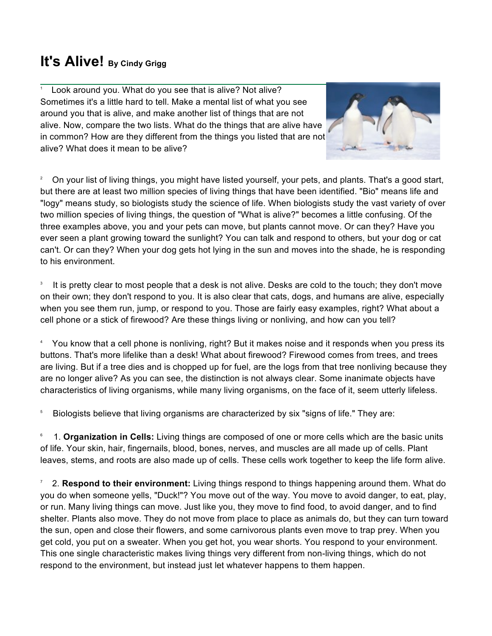## **It's Alive! By Cindy Grigg**

<sup>1</sup> Look around you. What do you see that is alive? Not alive? Sometimes it's a little hard to tell. Make a mental list of what you see around you that is alive, and make another list of things that are not alive. Now, compare the two lists. What do the things that are alive have in common? How are they different from the things you listed that are not alive? What does it mean to be alive?



<sup>2</sup> On your list of living things, you might have listed yourself, your pets, and plants. That's a good start, but there are at least two million species of living things that have been identified. "Bio" means life and "logy" means study, so biologists study the science of life. When biologists study the vast variety of over two million species of living things, the question of "What is alive?" becomes a little confusing. Of the three examples above, you and your pets can move, but plants cannot move. Or can they? Have you ever seen a plant growing toward the sunlight? You can talk and respond to others, but your dog or cat can't. Or can they? When your dog gets hot lying in the sun and moves into the shade, he is responding to his environment.

3 It is pretty clear to most people that a desk is not alive. Desks are cold to the touch; they don't move on their own; they don't respond to you. It is also clear that cats, dogs, and humans are alive, especially when you see them run, jump, or respond to you. Those are fairly easy examples, right? What about a cell phone or a stick of firewood? Are these things living or nonliving, and how can you tell?

4 You know that a cell phone is nonliving, right? But it makes noise and it responds when you press its buttons. That's more lifelike than a desk! What about firewood? Firewood comes from trees, and trees are living. But if a tree dies and is chopped up for fuel, are the logs from that tree nonliving because they are no longer alive? As you can see, the distinction is not always clear. Some inanimate objects have characteristics of living organisms, while many living organisms, on the face of it, seem utterly lifeless.

5 Biologists believe that living organisms are characterized by six "signs of life." They are:

6 1. **Organization in Cells:** Living things are composed of one or more cells which are the basic units of life. Your skin, hair, fingernails, blood, bones, nerves, and muscles are all made up of cells. Plant leaves, stems, and roots are also made up of cells. These cells work together to keep the life form alive.

7 2. **Respond to their environment:** Living things respond to things happening around them. What do you do when someone yells, "Duck!"? You move out of the way. You move to avoid danger, to eat, play, or run. Many living things can move. Just like you, they move to find food, to avoid danger, and to find shelter. Plants also move. They do not move from place to place as animals do, but they can turn toward the sun, open and close their flowers, and some carnivorous plants even move to trap prey. When you get cold, you put on a sweater. When you get hot, you wear shorts. You respond to your environment. This one single characteristic makes living things very different from non-living things, which do not respond to the environment, but instead just let whatever happens to them happen.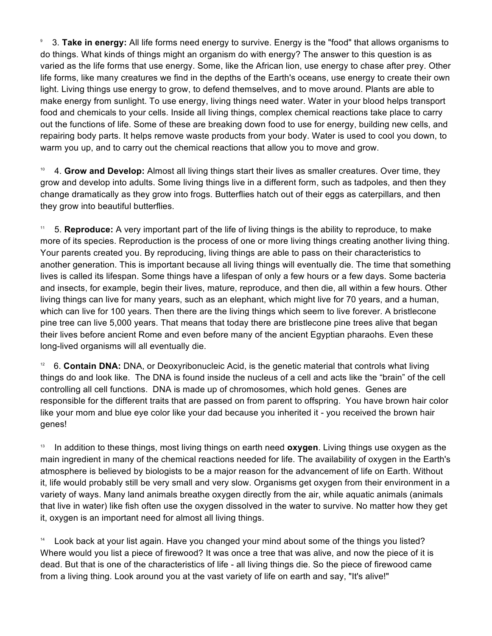9 3. **Take in energy:** All life forms need energy to survive. Energy is the "food" that allows organisms to do things. What kinds of things might an organism do with energy? The answer to this question is as varied as the life forms that use energy. Some, like the African lion, use energy to chase after prey. Other life forms, like many creatures we find in the depths of the Earth's oceans, use energy to create their own light. Living things use energy to grow, to defend themselves, and to move around. Plants are able to make energy from sunlight. To use energy, living things need water. Water in your blood helps transport food and chemicals to your cells. Inside all living things, complex chemical reactions take place to carry out the functions of life. Some of these are breaking down food to use for energy, building new cells, and repairing body parts. It helps remove waste products from your body. Water is used to cool you down, to warm you up, and to carry out the chemical reactions that allow you to move and grow.

10 4. **Grow and Develop:** Almost all living things start their lives as smaller creatures. Over time, they grow and develop into adults. Some living things live in a different form, such as tadpoles, and then they change dramatically as they grow into frogs. Butterflies hatch out of their eggs as caterpillars, and then they grow into beautiful butterflies.

11 5. **Reproduce:** A very important part of the life of living things is the ability to reproduce, to make more of its species. Reproduction is the process of one or more living things creating another living thing. Your parents created you. By reproducing, living things are able to pass on their characteristics to another generation. This is important because all living things will eventually die. The time that something lives is called its lifespan. Some things have a lifespan of only a few hours or a few days. Some bacteria and insects, for example, begin their lives, mature, reproduce, and then die, all within a few hours. Other living things can live for many years, such as an elephant, which might live for 70 years, and a human, which can live for 100 years. Then there are the living things which seem to live forever. A bristlecone pine tree can live 5,000 years. That means that today there are bristlecone pine trees alive that began their lives before ancient Rome and even before many of the ancient Egyptian pharaohs. Even these long-lived organisms will all eventually die.

<sup>12</sup> 6. **Contain DNA:** DNA, or Deoxyribonucleic Acid, is the genetic material that controls what living things do and look like. The DNA is found inside the nucleus of a cell and acts like the "brain" of the cell controlling all cell functions. DNA is made up of chromosomes, which hold genes. Genes are responsible for the different traits that are passed on from parent to offspring. You have brown hair color like your mom and blue eye color like your dad because you inherited it - you received the brown hair genes!

13 In addition to these things, most living things on earth need **oxygen**. Living things use oxygen as the main ingredient in many of the chemical reactions needed for life. The availability of oxygen in the Earth's atmosphere is believed by biologists to be a major reason for the advancement of life on Earth. Without it, life would probably still be very small and very slow. Organisms get oxygen from their environment in a variety of ways. Many land animals breathe oxygen directly from the air, while aquatic animals (animals that live in water) like fish often use the oxygen dissolved in the water to survive. No matter how they get it, oxygen is an important need for almost all living things.

<sup>14</sup> Look back at your list again. Have you changed your mind about some of the things you listed? Where would you list a piece of firewood? It was once a tree that was alive, and now the piece of it is dead. But that is one of the characteristics of life - all living things die. So the piece of firewood came from a living thing. Look around you at the vast variety of life on earth and say, "It's alive!"